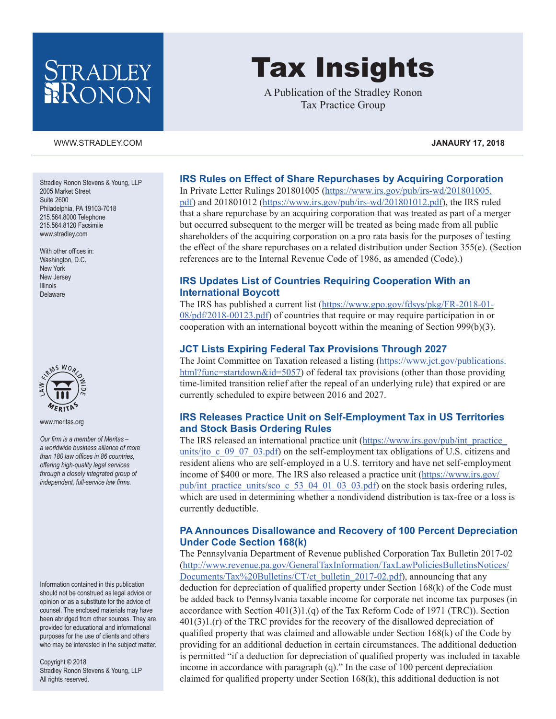## STRADLEY RONON

#### [WWW.STRADLEY.COM](www.stradley.com) **JANAURY 17, 2018**

Stradley Ronon Stevens & Young, LLP 2005 Market Street Suite 2600 Philadelphia, PA 19103-7018 215.564.8000 Telephone 215.564.8120 Facsimile [www.stradley.com](http://www.stradley.com)

With other offices in: Washington, D.C. New York New Jersey Illinois Delaware



[www.meritas.org](http://www.meritas.org)

*Our firm is a member of Meritas – a worldwide business alliance of more than 180 law offices in 86 countries, offering high-quality legal services through a closely integrated group of independent, full-service law firms.*

Information contained in this publication should not be construed as legal advice or opinion or as a substitute for the advice of counsel. The enclosed materials may have been abridged from other sources. They are provided for educational and informational purposes for the use of clients and others who may be interested in the subject matter.

Copyright © 2018 Stradley Ronon Stevens & Young, LLP All rights reserved.

# Tax Insights

A Publication of the Stradley Ronon Tax Practice Group

#### **IRS Rules on Effect of Share Repurchases by Acquiring Corporation**

In Private Letter Rulings 201801005 [\(https://www.irs.gov/pub/irs-wd/201801005.](https://www.irs.gov/pub/irs-wd/201801005.pdf) [pdf\)](https://www.irs.gov/pub/irs-wd/201801005.pdf) and 201801012 [\(https://www.irs.gov/pub/irs-wd/201801012.pdf](https://www.irs.gov/pub/irs-wd/201801012.pdf)), the IRS ruled that a share repurchase by an acquiring corporation that was treated as part of a merger but occurred subsequent to the merger will be treated as being made from all public shareholders of the acquiring corporation on a pro rata basis for the purposes of testing the effect of the share repurchases on a related distribution under Section 355(e). (Section references are to the Internal Revenue Code of 1986, as amended (Code).)

#### **IRS Updates List of Countries Requiring Cooperation With an International Boycott**

The IRS has published a current list ([https://www.gpo.gov/fdsys/pkg/FR-2018-01-](https://www.gpo.gov/fdsys/pkg/FR-2018-01-08/pdf/2018-00123.pdf) [08/pdf/2018-00123.pdf\)](https://www.gpo.gov/fdsys/pkg/FR-2018-01-08/pdf/2018-00123.pdf) of countries that require or may require participation in or cooperation with an international boycott within the meaning of Section 999(b)(3).

#### **JCT Lists Expiring Federal Tax Provisions Through 2027**

The Joint Committee on Taxation released a listing [\(https://www.jct.gov/publications.](https://www.jct.gov/publications.html?func=startdown&id=5057) [html?func=startdown&id=5057](https://www.jct.gov/publications.html?func=startdown&id=5057)) of federal tax provisions (other than those providing time-limited transition relief after the repeal of an underlying rule) that expired or are currently scheduled to expire between 2016 and 2027.

#### **IRS Releases Practice Unit on Self-Employment Tax in US Territories and Stock Basis Ordering Rules**

The IRS released an international practice unit [\(https://www.irs.gov/pub/int\\_practice\\_](https://www.irs.gov/pub/int_practice_units/jto_c_09_07_03.pdf) units/jto c 09 07 03.pdf) on the self-employment tax obligations of U.S. citizens and resident aliens who are self-employed in a U.S. territory and have net self-employment income of \$400 or more. The IRS also released a practice unit ([https://www.irs.gov/](https://www.irs.gov/pub/int_practice_units/sco_c_53_04_01_03_03.pdf) pub/int practice units/sco c 53 04 01 03 03.pdf) on the stock basis ordering rules, which are used in determining whether a nondividend distribution is tax-free or a loss is currently deductible.

#### **PA Announces Disallowance and Recovery of 100 Percent Depreciation Under Code Section 168(k)**

The Pennsylvania Department of Revenue published Corporation Tax Bulletin 2017-02 [\(http://www.revenue.pa.gov/GeneralTaxInformation/TaxLawPoliciesBulletinsNotices/](http://www.revenue.pa.gov/GeneralTaxInformation/TaxLawPoliciesBulletinsNotices/Documents/Tax%20Bulletins/CT/ct_bulletin_2017-02.pdf) [Documents/Tax%20Bulletins/CT/ct\\_bulletin\\_2017-02.pdf\)](http://www.revenue.pa.gov/GeneralTaxInformation/TaxLawPoliciesBulletinsNotices/Documents/Tax%20Bulletins/CT/ct_bulletin_2017-02.pdf), announcing that any deduction for depreciation of qualified property under Section 168(k) of the Code must be added back to Pennsylvania taxable income for corporate net income tax purposes (in accordance with Section  $401(3)1(9)$  of the Tax Reform Code of 1971 (TRC)). Section 401(3)1.(r) of the TRC provides for the recovery of the disallowed depreciation of qualified property that was claimed and allowable under Section 168(k) of the Code by providing for an additional deduction in certain circumstances. The additional deduction is permitted "if a deduction for depreciation of qualified property was included in taxable income in accordance with paragraph (q)." In the case of 100 percent depreciation claimed for qualified property under Section 168(k), this additional deduction is not